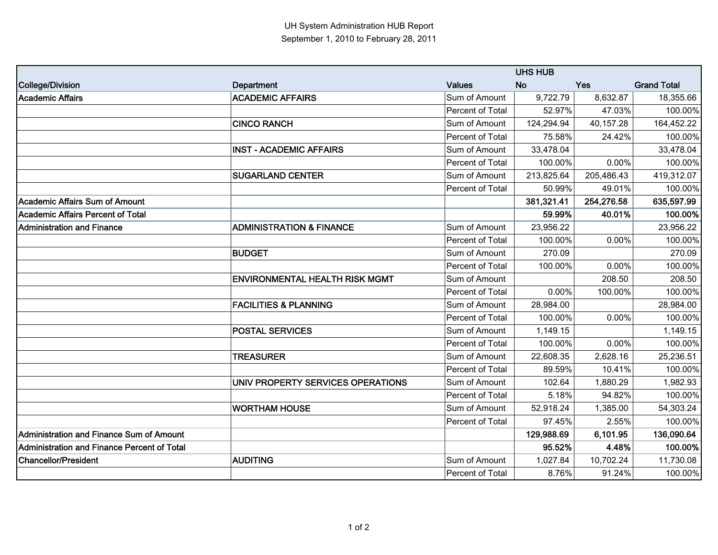|                                             |                                       | <b>UHS HUB</b>   |            |            |                    |
|---------------------------------------------|---------------------------------------|------------------|------------|------------|--------------------|
| College/Division                            | <b>Department</b>                     | <b>Values</b>    | <b>No</b>  | Yes        | <b>Grand Total</b> |
| <b>Academic Affairs</b>                     | <b>ACADEMIC AFFAIRS</b>               | Sum of Amount    | 9,722.79   | 8,632.87   | 18,355.66          |
|                                             |                                       | Percent of Total | 52.97%     | 47.03%     | 100.00%            |
|                                             | <b>CINCO RANCH</b>                    | Sum of Amount    | 124,294.94 | 40,157.28  | 164,452.22         |
|                                             |                                       | Percent of Total | 75.58%     | 24.42%     | 100.00%            |
|                                             | <b>INST - ACADEMIC AFFAIRS</b>        | Sum of Amount    | 33,478.04  |            | 33,478.04          |
|                                             |                                       | Percent of Total | 100.00%    | 0.00%      | 100.00%            |
|                                             | <b>SUGARLAND CENTER</b>               | Sum of Amount    | 213,825.64 | 205,486.43 | 419,312.07         |
|                                             |                                       | Percent of Total | 50.99%     | 49.01%     | 100.00%            |
| <b>Academic Affairs Sum of Amount</b>       |                                       |                  | 381,321.41 | 254,276.58 | 635,597.99         |
| Academic Affairs Percent of Total           |                                       |                  | 59.99%     | 40.01%     | 100.00%            |
| <b>Administration and Finance</b>           | <b>ADMINISTRATION &amp; FINANCE</b>   | Sum of Amount    | 23,956.22  |            | 23,956.22          |
|                                             |                                       | Percent of Total | 100.00%    | 0.00%      | 100.00%            |
|                                             | <b>BUDGET</b>                         | Sum of Amount    | 270.09     |            | 270.09             |
|                                             |                                       | Percent of Total | 100.00%    | 0.00%      | 100.00%            |
|                                             | <b>ENVIRONMENTAL HEALTH RISK MGMT</b> | Sum of Amount    |            | 208.50     | 208.50             |
|                                             |                                       | Percent of Total | 0.00%      | 100.00%    | 100.00%            |
|                                             | <b>FACILITIES &amp; PLANNING</b>      | Sum of Amount    | 28,984.00  |            | 28,984.00          |
|                                             |                                       | Percent of Total | 100.00%    | 0.00%      | 100.00%            |
|                                             | <b>POSTAL SERVICES</b>                | Sum of Amount    | 1,149.15   |            | 1,149.15           |
|                                             |                                       | Percent of Total | 100.00%    | 0.00%      | 100.00%            |
|                                             | <b>TREASURER</b>                      | Sum of Amount    | 22,608.35  | 2,628.16   | 25,236.51          |
|                                             |                                       | Percent of Total | 89.59%     | 10.41%     | 100.00%            |
|                                             | UNIV PROPERTY SERVICES OPERATIONS     | Sum of Amount    | 102.64     | 1,880.29   | 1,982.93           |
|                                             |                                       | Percent of Total | 5.18%      | 94.82%     | 100.00%            |
|                                             | <b>WORTHAM HOUSE</b>                  | Sum of Amount    | 52,918.24  | 1,385.00   | 54,303.24          |
|                                             |                                       | Percent of Total | 97.45%     | 2.55%      | 100.00%            |
| Administration and Finance Sum of Amount    |                                       |                  | 129,988.69 | 6,101.95   | 136,090.64         |
| Administration and Finance Percent of Total |                                       |                  | 95.52%     | 4.48%      | 100.00%            |
| <b>Chancellor/President</b>                 | <b>AUDITING</b>                       | Sum of Amount    | 1,027.84   | 10,702.24  | 11,730.08          |
|                                             |                                       | Percent of Total | 8.76%      | 91.24%     | 100.00%            |